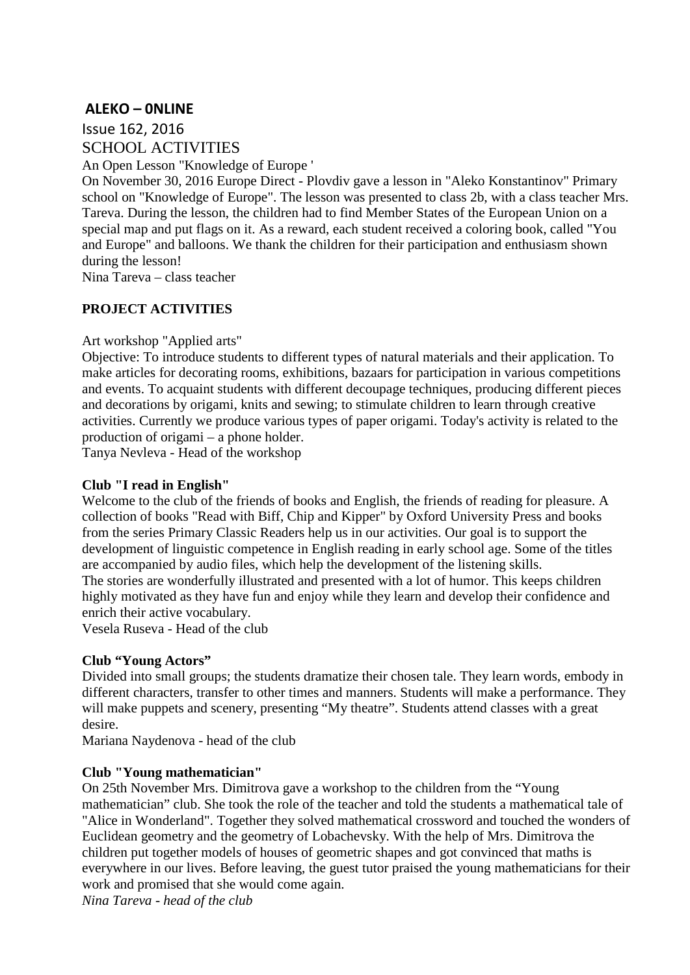# **ALEKO – 0NLINE**

Issue 162, 2016 SCHOOL ACTIVITIES

An Open Lesson "Knowledge of Europe '

On November 30, 2016 Europe Direct - Plovdiv gave a lesson in "Aleko Konstantinov" Primary school on "Knowledge of Europe". The lesson was presented to class 2b, with a class teacher Mrs. Tareva. During the lesson, the children had to find Member States of the European Union on a special map and put flags on it. As a reward, each student received a coloring book, called "You and Europe" and balloons. We thank the children for their participation and enthusiasm shown during the lesson!

Nina Tareva – class teacher

# **PROJECT ACTIVITIES**

#### Art workshop "Applied arts"

Objective: To introduce students to different types of natural materials and their application. To make articles for decorating rooms, exhibitions, bazaars for participation in various competitions and events. To acquaint students with different decoupage techniques, producing different pieces and decorations by origami, knits and sewing; to stimulate children to learn through creative activities. Currently we produce various types of paper origami. Today's activity is related to the production of origami – a phone holder.

Tanya Nevleva - Head of the workshop

#### **Club "I read in English"**

Welcome to the club of the friends of books and English, the friends of reading for pleasure. A collection of books "Read with Biff, Chip and Kipper" by Oxford University Press and books from the series Primary Classic Readers help us in our activities. Our goal is to support the development of linguistic competence in English reading in early school age. Some of the titles are accompanied by audio files, which help the development of the listening skills. The stories are wonderfully illustrated and presented with a lot of humor. This keeps children highly motivated as they have fun and enjoy while they learn and develop their confidence and enrich their active vocabulary.

Vesela Ruseva - Head of the club

## **Club "Young Actors"**

Divided into small groups; the students dramatize their chosen tale. They learn words, embody in different characters, transfer to other times and manners. Students will make a performance. They will make puppets and scenery, presenting "My theatre". Students attend classes with a great desire.

Mariana Naydenova - head of the club

## **Club "Young mathematician"**

On 25th November Mrs. Dimitrova gave a workshop to the children from the "Young mathematician" club. She took the role of the teacher and told the students a mathematical tale of "Alice in Wonderland". Together they solved mathematical crossword and touched the wonders of Euclidean geometry and the geometry of Lobachevsky. With the help of Mrs. Dimitrova the children put together models of houses of geometric shapes and got convinced that maths is everywhere in our lives. Before leaving, the guest tutor praised the young mathematicians for their work and promised that she would come again.

*Nina Tareva - head of the club*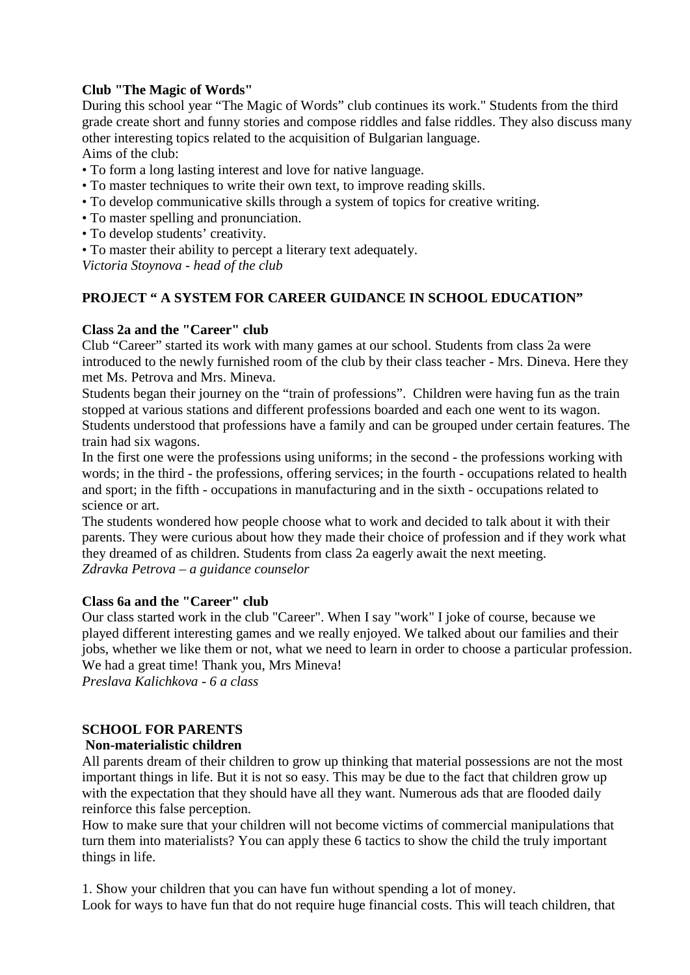## **Club "The Magic of Words"**

During this school year "The Magic of Words" club continues its work." Students from the third grade create short and funny stories and compose riddles and false riddles. They also discuss many other interesting topics related to the acquisition of Bulgarian language. Aims of the club:

- To form a long lasting interest and love for native language.
- To master techniques to write their own text, to improve reading skills.
- To develop communicative skills through a system of topics for creative writing.
- To master spelling and pronunciation.
- To develop students' creativity.
- To master their ability to percept a literary text adequately.

*Victoria Stoynova - head of the club*

## **PROJECT " A SYSTEM FOR CAREER GUIDANCE IN SCHOOL EDUCATION"**

#### **Class 2a and the "Career" club**

Club "Career" started its work with many games at our school. Students from class 2a were introduced to the newly furnished room of the club by their class teacher - Mrs. Dineva. Here they met Ms. Petrova and Mrs. Mineva.

Students began their journey on the "train of professions". Children were having fun as the train stopped at various stations and different professions boarded and each one went to its wagon. Students understood that professions have a family and can be grouped under certain features. The train had six wagons.

In the first one were the professions using uniforms; in the second - the professions working with words; in the third - the professions, offering services; in the fourth - occupations related to health and sport; in the fifth - occupations in manufacturing and in the sixth - occupations related to science or art.

The students wondered how people choose what to work and decided to talk about it with their parents. They were curious about how they made their choice of profession and if they work what they dreamed of as children. Students from class 2a eagerly await the next meeting. *Zdravka Petrova – a guidance counselor*

#### **Class 6a and the "Career" club**

Our class started work in the club "Career". When I say "work" I joke of course, because we played different interesting games and we really enjoyed. We talked about our families and their jobs, whether we like them or not, what we need to learn in order to choose a particular profession. We had a great time! Thank you, Mrs Mineva!

*Preslava Kalichkova - 6 a class*

## **SCHOOL FOR PARENTS**

## **Non-materialistic children**

All parents dream of their children to grow up thinking that material possessions are not the most important things in life. But it is not so easy. This may be due to the fact that children grow up with the expectation that they should have all they want. Numerous ads that are flooded daily reinforce this false perception.

How to make sure that your children will not become victims of commercial manipulations that turn them into materialists? You can apply these 6 tactics to show the child the truly important things in life.

1. Show your children that you can have fun without spending a lot of money. Look for ways to have fun that do not require huge financial costs. This will teach children, that